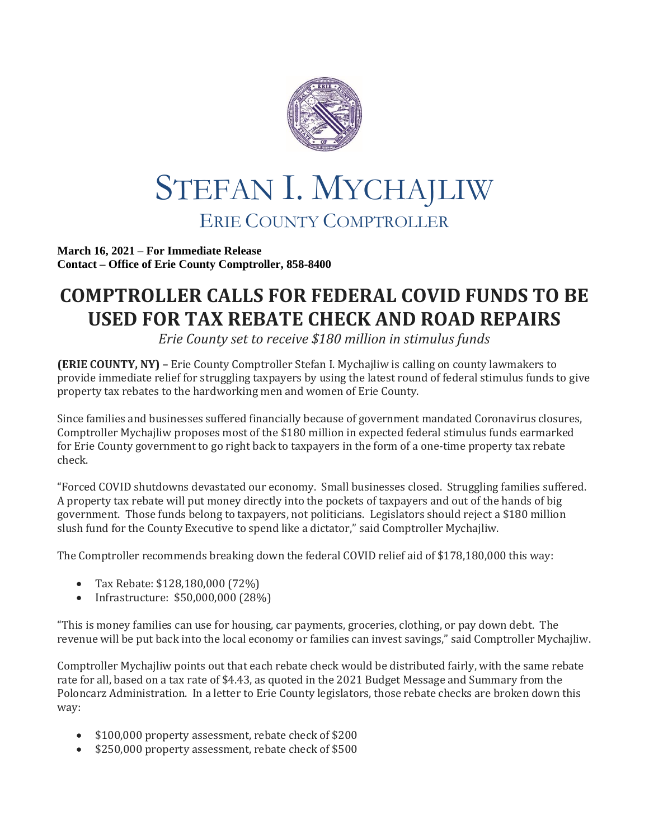

## STEFAN I. MYCHAJLIW ERIE COUNTY COMPTROLLER

**March 16, 2021 – For Immediate Release Contact – Office of Erie County Comptroller, 858-8400**

## **COMPTROLLER CALLS FOR FEDERAL COVID FUNDS TO BE USED FOR TAX REBATE CHECK AND ROAD REPAIRS**

*Erie County set to receive \$180 million in stimulus funds*

**(ERIE COUNTY, NY) –** Erie County Comptroller Stefan I. Mychajliw is calling on county lawmakers to provide immediate relief for struggling taxpayers by using the latest round of federal stimulus funds to give property tax rebates to the hardworking men and women of Erie County.

Since families and businesses suffered financially because of government mandated Coronavirus closures, Comptroller Mychajliw proposes most of the \$180 million in expected federal stimulus funds earmarked for Erie County government to go right back to taxpayers in the form of a one-time property tax rebate check.

"Forced COVID shutdowns devastated our economy. Small businesses closed. Struggling families suffered. A property tax rebate will put money directly into the pockets of taxpayers and out of the hands of big government. Those funds belong to taxpayers, not politicians. Legislators should reject a \$180 million slush fund for the County Executive to spend like a dictator," said Comptroller Mychajliw.

The Comptroller recommends breaking down the federal COVID relief aid of \$178,180,000 this way:

- Tax Rebate: \$128,180,000 (72%)
- Infrastructure: \$50,000,000 (28%)

"This is money families can use for housing, car payments, groceries, clothing, or pay down debt. The revenue will be put back into the local economy or families can invest savings," said Comptroller Mychajliw.

Comptroller Mychajliw points out that each rebate check would be distributed fairly, with the same rebate rate for all, based on a tax rate of \$4.43, as quoted in the 2021 Budget Message and Summary from the Poloncarz Administration. In a letter to Erie County legislators, those rebate checks are broken down this way:

- \$100,000 property assessment, rebate check of \$200
- \$250,000 property assessment, rebate check of \$500